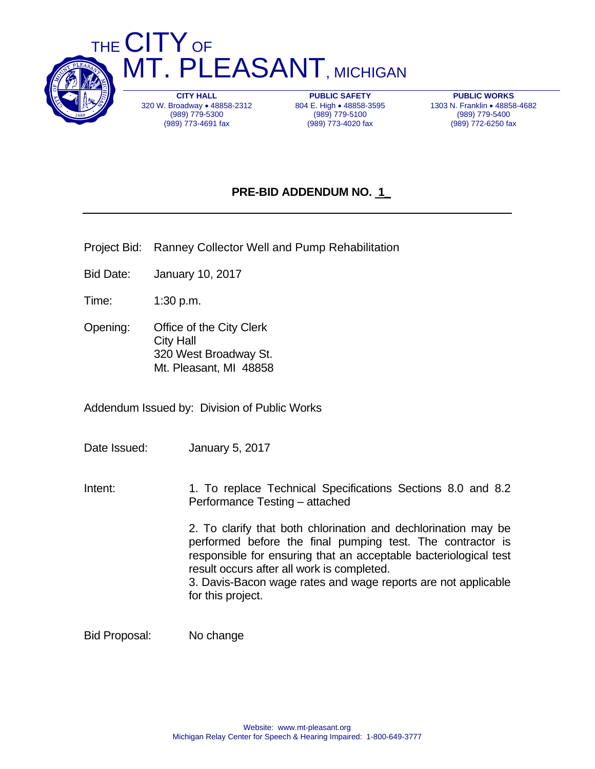

THE CITY OF **MT. PLEASANT, MICHIGAN** 

> **CITY HALL**  320 W. Broadway . 48858-2312 (989) 779-5300 (989) 773-4691 fax

**PUBLIC SAFETY**  804 E. High . 48858-3595 (989) 779-5100 (989) 773-4020 fax

**PUBLIC WORKS**  1303 N. Franklin . 48858-4682 (989) 779-5400 (989) 772-6250 fax

## **PRE-BID ADDENDUM NO. 1\_**

- Project Bid: Ranney Collector Well and Pump Rehabilitation
- Bid Date: January 10, 2017
- Time: 1:30 p.m.
- Opening: Office of the City Clerk City Hall 320 West Broadway St. Mt. Pleasant, MI 48858

Addendum Issued by: Division of Public Works

- Date Issued: January 5, 2017
- Intent: 1. To replace Technical Specifications Sections 8.0 and 8.2 Performance Testing – attached

 2. To clarify that both chlorination and dechlorination may be performed before the final pumping test. The contractor is responsible for ensuring that an acceptable bacteriological test result occurs after all work is completed.

 3. Davis-Bacon wage rates and wage reports are not applicable for this project.

Bid Proposal: No change